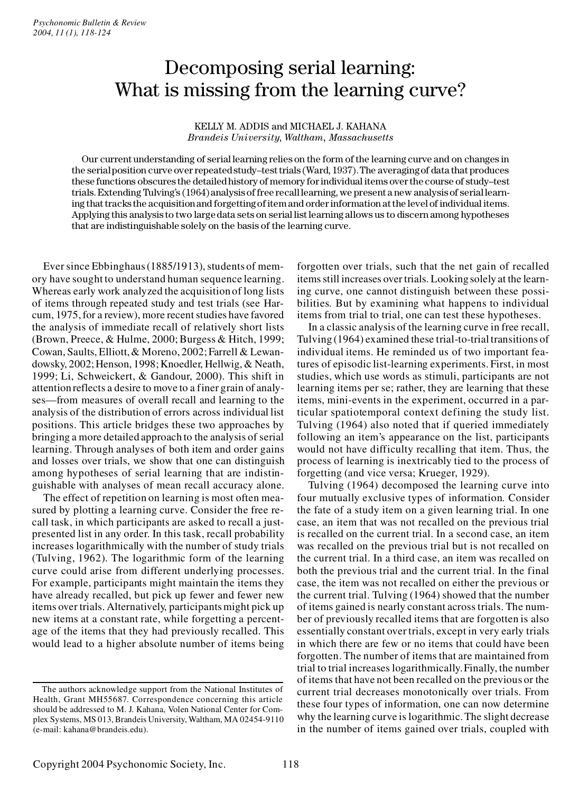# Decomposing serial learning: What is missing from the learning curve?

## KELLY M. ADDIS and MICHAEL J. KAHANA *Brandeis University, Waltham, Massachusetts*

Our current understanding of serial learningrelies on the form of the learning curve and on changes in the serialposition curve overrepeatedstudy–testtrials (Ward, 1937).The averagingof datathat produces thesefunctions obscuresthe detailedhistory of memory for individual items overthe course of study–test trials. Extending Tulving's (1964) analysis of free recall learning, we present a new analysis of serial learning that tracks the acquisitionand forgettingof item and order information atthe levelof individual items. Applying this analysis to two largedata sets on serial list learning allows us to discern among hypotheses that are indistinguishable solely on the basis of the learning curve.

Ever since Ebbinghaus (1885/1913), students of memory have sought to understand human sequence learning. Whereas early work analyzed the acquisition of long lists of items through repeated study and test trials (see Harcum, 1975, for a review), more recent studies have favored the analysis of immediate recall of relatively short lists (Brown, Preece, & Hulme, 2000; Burgess & Hitch, 1999; Cowan, Saults, Elliott, & Moreno, 2002; Farrell & Lewandowsky, 2002;Henson, 1998;Knoedler, Hellwig, & Neath, 1999; Li, Schweickert, & Gandour, 2000). This shift in attention reflects a desire to move to a finer grain of analyses—from measures of overall recall and learning to the analysis of the distribution of errors across individual list positions. This article bridges these two approaches by bringing a more detailed approach to the analysis of serial learning. Through analyses of both item and order gains and losses over trials, we show that one can distinguish among hypotheses of serial learning that are indistinguishable with analyses of mean recall accuracy alone.

The effect of repetition on learning is most often measured by plotting a learning curve. Consider the free recall task, in which participants are asked to recall a justpresented list in any order. In this task, recall probability increases logarithmically with the number of study trials (Tulving, 1962). The logarithmic form of the learning curve could arise from different underlying processes. For example, participants might maintain the items they have already recalled, but pick up fewer and fewer new items over trials. Alternatively, participants might pick up new items at a constant rate, while forgetting a percentage of the items that they had previously recalled. This would lead to a higher absolute number of items being

forgotten over trials, such that the net gain of recalled items still increases over trials. Looking solely at the learning curve, one cannot distinguish between these possibilities. But by examining what happens to individual items from trial to trial, one can test these hypotheses.

In a classic analysis of the learning curve in free recall, Tulving (1964) examined these trial-to-trial transitions of individual items. He reminded us of two important features of episodic list-learning experiments. First, in most studies, which use words as stimuli, participants are not learning items per se; rather, they are learning that these items, mini-events in the experiment, occurred in a particular spatiotemporal context defining the study list. Tulving (1964) also noted that if queried immediately following an item's appearance on the list, participants would not have difficulty recalling that item. Thus, the process of learning is inextricably tied to the process of forgetting (and vice versa; Krueger, 1929).

Tulving (1964) decomposed the learning curve into four mutually exclusive types of information. Consider the fate of a study item on a given learning trial. In one case, an item that was not recalled on the previous trial is recalled on the current trial. In a second case, an item was recalled on the previous trial but is not recalled on the current trial. In a third case, an item was recalled on both the previous trial and the current trial. In the final case, the item was not recalled on either the previous or the current trial. Tulving (1964) showed that the number of items gained is nearly constant across trials. The number of previously recalled items that are forgotten is also essentially constant over trials, except in very early trials in which there are few or no items that could have been forgotten. The number of items that are maintained from trial to trial increaseslogarithmically.Finally, the number of items that have not been recalled on the previous or the current trial decreases monotonically over trials. From these four types of information, one can now determine why the learning curve is logarithmic.The slight decrease in the number of items gained over trials, coupled with

The authors acknowledge support from the National Institutes of Health, Grant MH55687. Correspondence concerning this article should be addressed to M. J. Kahana, Volen National Center for Complex Systems, MS 013, Brandeis University, Waltham, MA 02454-9110 (e-mail: kahana@brandeis.edu).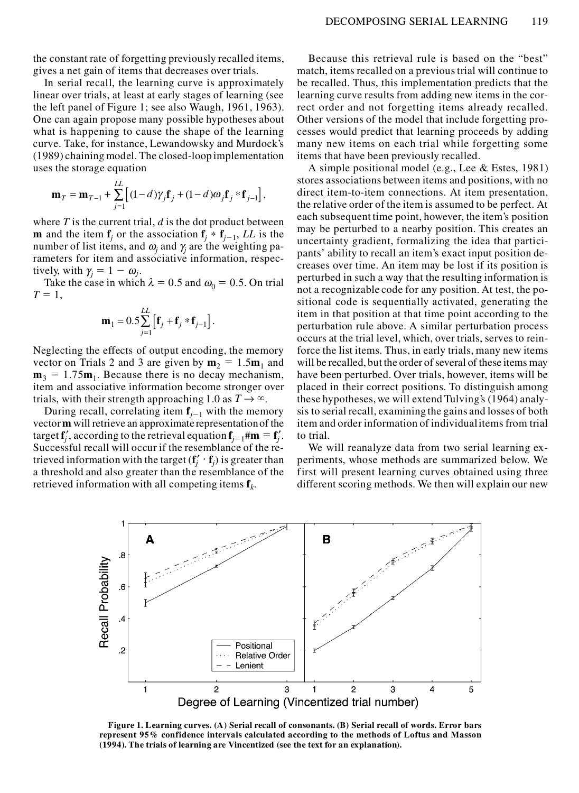the constant rate of forgetting previously recalled items, gives a net gain of items that decreases over trials.

In serial recall, the learning curve is approximately linear over trials, at least at early stages of learning (see the left panel of Figure 1; see also Waugh, 1961, 1963). One can again propose many possible hypotheses about what is happening to cause the shape of the learning curve. Take, for instance, Lewandowsky and Murdock's (1989) chaining model. The closed-loop implementation uses the storage equation

$$
\mathbf{m}_{T} = \mathbf{m}_{T-1} + \sum_{j=1}^{LL} \left[ (1-d)\gamma_{j} \mathbf{f}_{j} + (1-d)\omega_{j} \mathbf{f}_{j} * \mathbf{f}_{j-1} \right],
$$

where *T* is the current trial, *d* is the dot product between **m** and the item  $f_i$  or the association  $f_i * f_{i-1}$ , *LL* is the number of list items, and  $\omega_i$  and  $\gamma_j$  are the weighting parameters for item and associative information, respectively, with  $\gamma_i = 1 - \omega_i$ .

Take the case in which  $\lambda = 0.5$  and  $\omega_0 = 0.5$ . On trial  $T = 1$ ,

$$
\mathbf{m}_1 = 0.5 \sum_{j=1}^{LL} \left[ \mathbf{f}_j + \mathbf{f}_j \ast \mathbf{f}_{j-1} \right].
$$

Neglecting the effects of output encoding, the memory vector on Trials 2 and 3 are given by  $\mathbf{m}_2 = 1.5 \mathbf{m}_1$  and  $m_3 = 1.75m_1$ . Because there is no decay mechanism, item and associative information become stronger over trials, with their strength approaching 1.0 as  $T \rightarrow \infty$ .

During recall, correlating item  $f_{i-1}$  with the memory vector **m** will retrieve an approximate representation of the target  $\mathbf{f}'_j$ , according to the retrieval equation  $\mathbf{f}_{j-1}$ # $\mathbf{m} = \mathbf{f}'_j$ . Successful recall will occur if the resemblance of the retrieved information with the target  $(f'_j \cdot f_j)$  is greater than a threshold and also greater than the resemblance of the retrieved information with all competing items **f***k*.

Because this retrieval rule is based on the "best" match, items recalled on a previous trial will continue to be recalled. Thus, this implementation predicts that the learning curve results from adding new items in the correct order and not forgetting items already recalled. Other versions of the model that include forgetting processes would predict that learning proceeds by adding many new items on each trial while forgetting some items that have been previously recalled.

A simple positional model (e.g., Lee & Estes, 1981) stores associations between items and positions, with no direct item-to-item connections. At item presentation, the relative order of the item is assumed to be perfect. At each subsequent time point, however, the item's position may be perturbed to a nearby position. This creates an uncertainty gradient, formalizing the idea that participants' ability to recall an item's exact input position decreases over time. An item may be lost if its position is perturbed in such a way that the resulting information is not a recognizable code for any position. At test, the positional code is sequentially activated, generating the item in that position at that time point according to the perturbation rule above. A similar perturbation process occurs at the trial level, which, over trials, serves to reinforce the list items. Thus, in early trials, many new items will be recalled, but the order of several of these items may have been perturbed. Over trials, however, items will be placed in their correct positions. To distinguish among these hypotheses, we will extend Tulving's (1964) analysis to serial recall, examining the gains and losses of both item and order information of individualitems from trial to trial.

We will reanalyze data from two serial learning experiments, whose methods are summarized below. We first will present learning curves obtained using three different scoring methods. We then will explain our new



**Figure 1. Learning curves. (A) Serial recall of consonants. (B) Serial recall of words. Error bars represent 95% confidence intervals calculated according to the methods of Loftus and Masson (1994). The trials of learning are Vincentized (see the text for an explanation).**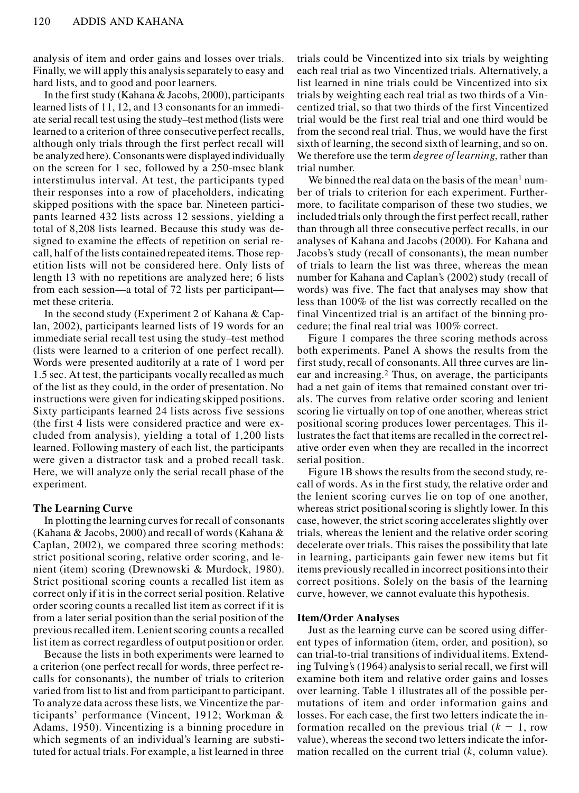analysis of item and order gains and losses over trials. Finally, we will apply this analysisseparately to easy and hard lists, and to good and poor learners.

In the first study (Kahana & Jacobs, 2000), participants learned lists of 11, 12, and 13 consonants for an immediate serial recall test using thestudy–test method (lists were learned to a criterion of three consecutive perfect recalls, although only trials through the first perfect recall will be analyzed here). Consonantswere displayed individually on the screen for 1 sec, followed by a 250-msec blank interstimulus interval. At test, the participants typed their responses into a row of placeholders, indicating skipped positions with the space bar. Nineteen participants learned 432 lists across 12 sessions, yielding a total of 8,208 lists learned. Because this study was designed to examine the effects of repetition on serial recall, half of the lists contained repeated items. Those repetition lists will not be considered here. Only lists of length 13 with no repetitions are analyzed here; 6 lists from each session—a total of 72 lists per participant met these criteria.

In the second study (Experiment 2 of Kahana & Caplan, 2002), participants learned lists of 19 words for an immediate serial recall test using the study–test method (lists were learned to a criterion of one perfect recall). Words were presented auditorily at a rate of 1 word per 1.5 sec. At test, the participants vocally recalled as much of the list as they could, in the order of presentation. No instructions were given for indicating skipped positions. Sixty participants learned 24 lists across five sessions (the first 4 lists were considered practice and were excluded from analysis), yielding a total of 1,200 lists learned. Following mastery of each list, the participants were given a distractor task and a probed recall task. Here, we will analyze only the serial recall phase of the experiment.

## **The Learning Curve**

In plotting the learning curves for recall of consonants (Kahana & Jacobs, 2000) and recall of words (Kahana & Caplan, 2002), we compared three scoring methods: strict positional scoring, relative order scoring, and lenient (item) scoring (Drewnowski & Murdock, 1980). Strict positional scoring counts a recalled list item as correct only if it is in the correct serial position.Relative order scoring counts a recalled list item as correct if it is from a later serial position than the serial position of the previous recalled item. Lenient scoring counts a recalled list item as correct regardless of output position or order.

Because the lists in both experiments were learned to a criterion (one perfect recall for words, three perfect recalls for consonants), the number of trials to criterion varied from list to list and from participant to participant. To analyze data across these lists, we Vincentize the participants' performance (Vincent, 1912; Workman & Adams, 1950). Vincentizing is a binning procedure in which segments of an individual's learning are substituted for actual trials. For example, a list learned in three

trials could be Vincentized into six trials by weighting each real trial as two Vincentized trials. Alternatively, a list learned in nine trials could be Vincentized into six trials by weighting each real trial as two thirds of a Vincentized trial, so that two thirds of the first Vincentized trial would be the first real trial and one third would be from the second real trial. Thus, we would have the first sixth of learning, the second sixth of learning, and so on. We therefore use the term *degree of learning*, rather than trial number.

We binned the real data on the basis of the mean<sup>1</sup> number of trials to criterion for each experiment. Furthermore, to facilitate comparison of these two studies, we included trials only through the first perfect recall, rather than through all three consecutive perfect recalls, in our analyses of Kahana and Jacobs (2000). For Kahana and Jacobs's study (recall of consonants), the mean number of trials to learn the list was three, whereas the mean number for Kahana and Caplan's (2002) study (recall of words) was five. The fact that analyses may show that less than 100% of the list was correctly recalled on the final Vincentized trial is an artifact of the binning procedure; the final real trial was 100% correct.

Figure 1 compares the three scoring methods across both experiments. Panel A shows the results from the first study, recall of consonants. All three curves are linear and increasing.2 Thus, on average, the participants had a net gain of items that remained constant over trials. The curves from relative order scoring and lenient scoring lie virtually on top of one another, whereas strict positional scoring produces lower percentages. This illustrates the fact that items are recalled in the correct relative order even when they are recalled in the incorrect serial position.

Figure 1B shows the results from the second study, recall of words. As in the first study, the relative order and the lenient scoring curves lie on top of one another, whereas strict positional scoring is slightly lower. In this case, however, the strict scoring accelerates slightly over trials, whereas the lenient and the relative order scoring decelerate over trials. This raises the possibility that late in learning, participants gain fewer new items but fit items previously recalled in incorrect positionsinto their correct positions. Solely on the basis of the learning curve, however, we cannot evaluate this hypothesis.

#### **Item/Order Analyses**

Just as the learning curve can be scored using different types of information (item, order, and position), so can trial-to-trial transitions of individual items. Extending Tulving's (1964) analysis to serial recall, we first will examine both item and relative order gains and losses over learning. Table 1 illustrates all of the possible permutations of item and order information gains and losses. For each case, the first two letters indicate the information recalled on the previous trial  $(k - 1)$ , row value), whereas the second two letters indicate the information recalled on the current trial (*k*, column value).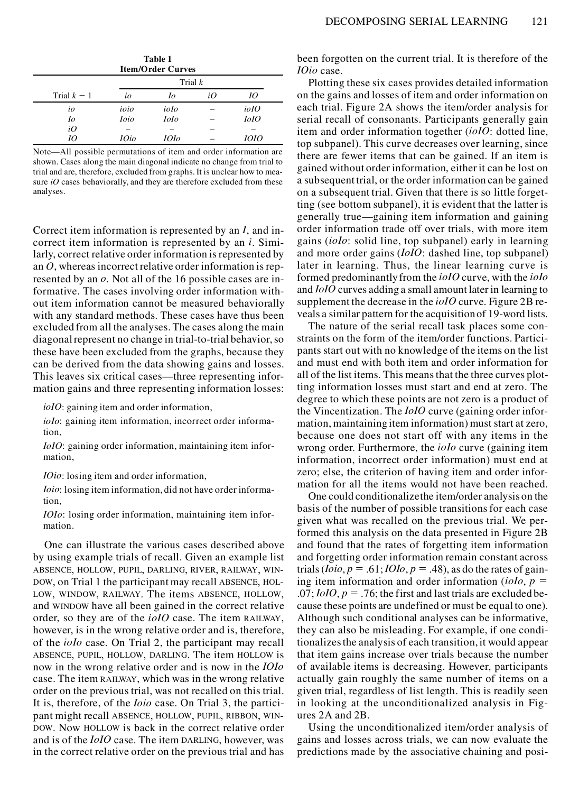| Table 1<br><b>Item/Order Curves</b> |             |             |    |             |
|-------------------------------------|-------------|-------------|----|-------------|
|                                     | Trial $k$   |             |    |             |
| Trial $k-1$                         | io          | Io          | iΩ | 10          |
| io                                  | ioio        | iolo        |    | $i$ oIO     |
| Io                                  | <i>Ioio</i> | <i>IoIo</i> |    | <i>IoIO</i> |
| iO                                  |             |             |    |             |
| Ю                                   | <i>IOio</i> | IOIo        |    | 1010        |

DECOMPOSING SERIAL LEARNING 121

Note—All possible permutations of item and order information are shown. Cases along the main diagonal indicate no change from trial to trial and are, therefore, excluded from graphs. It is unclear how to measure *iO* cases behaviorally, and they are therefore excluded from these analyses.

Correct item information is represented by an *I*, and incorrect item information is represented by an *i*. Similarly, correct relative order information is represented by an *O*, whereas incorrect relative order information is represented by an *o*. Not all of the 16 possible cases are informative. The cases involving order information without item information cannot be measured behaviorally with any standard methods. These cases have thus been excluded from all the analyses. The cases along the main diagonal represent no change in trial-to-trial behavior, so these have been excluded from the graphs, because they can be derived from the data showing gains and losses. This leaves six critical cases—three representing information gains and three representing information losses:

*ioIO*: gaining item and order information,

*ioIo*: gaining item information, incorrect order information,

*IoIO*: gaining order information, maintaining item information,

*IOio*: losing item and order information,

*Ioio*: losing item information, did not have order information,

*IOIo*: losing order information, maintaining item information.

One can illustrate the various cases described above by using example trials of recall. Given an example list ABSENCE, HOLLOW, PUPIL, DARLING, RIVER, RAILWAY, WIN-DOW, on Trial 1 the participant may recall ABSENCE, HOL-LOW, WINDOW, RAILWAY. The items ABSENCE, HOLLOW, and WINDOW have all been gained in the correct relative order, so they are of the *ioIO* case. The item RAILWAY, however, is in the wrong relative order and is, therefore, of the *ioIo* case. On Trial 2, the participant may recall ABSENCE, PUPIL, HOLLOW, DARLING. The item HOLLOW is now in the wrong relative order and is now in the *IOIo* case. The item RAILWAY, which was in the wrong relative order on the previous trial, was not recalled on this trial. It is, therefore, of the *Ioio* case. On Trial 3, the participant might recall ABSENCE, HOLLOW, PUPIL, RIBBON, WIN-DOW. Now HOLLOW is back in the correct relative order and is of the *IoIO* case. The item DARLING, however, was in the correct relative order on the previoustrial and has

been forgotten on the current trial. It is therefore of the *IOio* case.

Plotting these six cases provides detailed information on the gains and losses of item and order information on each trial. Figure 2A shows the item/order analysis for serial recall of consonants. Participants generally gain item and order information together (*ioIO*: dotted line, top subpanel). This curve decreases over learning, since there are fewer items that can be gained. If an item is gained without order information, either it can be lost on a subsequent trial, or the order information can be gained on a subsequent trial. Given that there is so little forgetting (see bottom subpanel), it is evident that the latter is generally true—gaining item information and gaining order information trade off over trials, with more item gains (*ioIo*: solid line, top subpanel) early in learning and more order gains (*IoIO*: dashed line, top subpanel) later in learning. Thus, the linear learning curve is formed predominantlyfrom the *ioIO* curve, with the *ioIo* and *IoIO* curves adding a small amount later in learning to supplement the decrease in the *ioIO* curve. Figure 2B reveals a similar pattern for the acquisition of 19-word lists.

The nature of the serial recall task places some constraints on the form of the item/order functions. Participants start out with no knowledge of the items on the list and must end with both item and order information for all of the list items. This means that the three curves plotting information losses must start and end at zero. The degree to which these points are not zero is a product of the Vincentization. The *IoIO* curve (gaining order information, maintaining item information) must start at zero, because one does not start off with any items in the wrong order. Furthermore, the *ioIo* curve (gaining item information, incorrect order information) must end at zero; else, the criterion of having item and order information for all the items would not have been reached.

One could conditionalizethe item/order analysis on the basis of the number of possible transitions for each case given what was recalled on the previous trial. We performed this analysis on the data presented in Figure 2B and found that the rates of forgetting item information and forgetting order information remain constant across trials  $(loio, p = .61; I Olo, p = .48)$ , as do the rates of gaining item information and order information (*iolo*,  $p =$ .07;  $IoIO$ ,  $p = .76$ ; the first and last trials are excluded because these points are undefined or must be equal to one). Although such conditional analyses can be informative, they can also be misleading. For example, if one conditionalizesthe analysis of each transition, it would appear that item gains increase over trials because the number of available items is decreasing. However, participants actually gain roughly the same number of items on a given trial, regardless of list length. This is readily seen in looking at the unconditionalized analysis in Figures 2A and 2B.

Using the unconditionalized item/order analysis of gains and losses across trials, we can now evaluate the predictions made by the associative chaining and posi-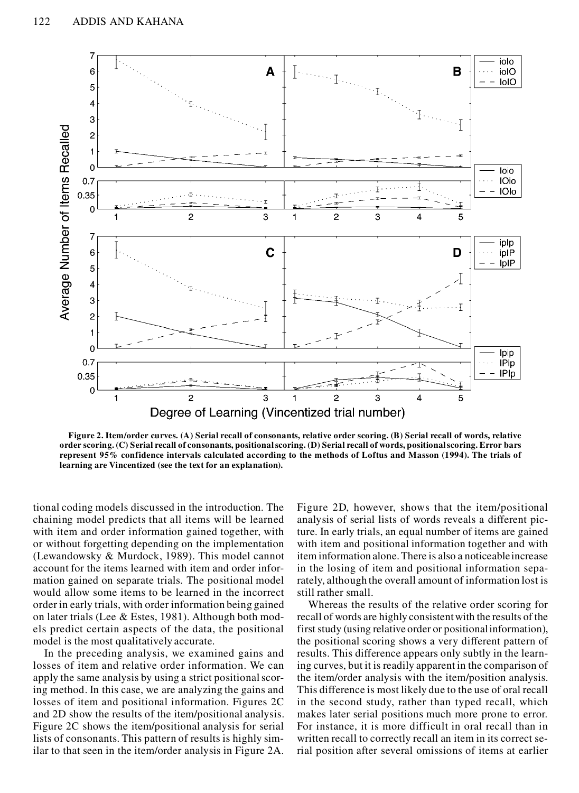

Figure 2. Item/order curves. (A) Serial recall of consonants, relative order scoring. (B) Serial recall of words, relative order scoring. (C) Serial recall of consonants, positional scoring. (D) Serial recall of words, positional scoring. Error bars represent 95% confidence intervals calculated according to the methods of Loftus and Masson (1994). The trials of **learning are Vincentized (see the text for an explanation).**

tional coding models discussed in the introduction. The chaining model predicts that all items will be learned with item and order information gained together, with or without forgetting depending on the implementation (Lewandowsky & Murdock, 1989). This model cannot account for the items learned with item and order information gained on separate trials. The positional model would allow some items to be learned in the incorrect order in early trials, with order information being gained on later trials (Lee & Estes, 1981). Although both models predict certain aspects of the data, the positional model is the most qualitatively accurate.

In the preceding analysis, we examined gains and losses of item and relative order information. We can apply the same analysis by using a strict positionalscoring method. In this case, we are analyzing the gains and losses of item and positional information. Figures 2C and 2D show the results of the item/positional analysis. Figure 2C shows the item/positional analysis for serial lists of consonants. This pattern of results is highly similar to that seen in the item/order analysis in Figure 2A.

Figure 2D, however, shows that the item/positional analysis of serial lists of words reveals a different picture. In early trials, an equal number of items are gained with item and positional information together and with item information alone.There is also a noticeableincrease in the losing of item and positional information separately, although the overall amount of information lost is still rather small.

Whereas the results of the relative order scoring for recall of words are highly consistentwith the results of the first study (using relative order or positionalinformation), the positional scoring shows a very different pattern of results. This difference appears only subtly in the learning curves, but it is readily apparent in the comparison of the item/order analysis with the item/position analysis. This difference is most likely due to the use of oral recall in the second study, rather than typed recall, which makes later serial positions much more prone to error. For instance, it is more difficult in oral recall than in written recall to correctly recall an item in its correct serial position after several omissions of items at earlier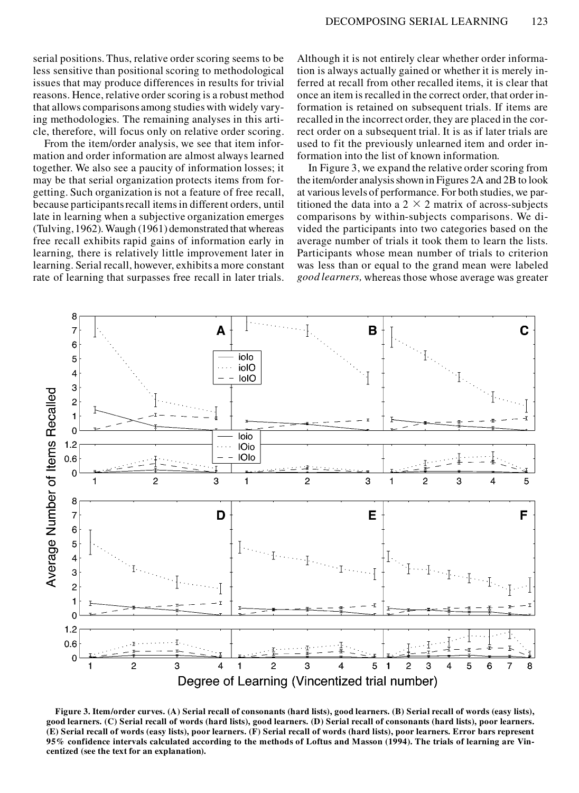serial positions. Thus, relative order scoring seems to be less sensitive than positional scoring to methodological issues that may produce differences in results for trivial reasons. Hence, relative order scoring is a robust method that allows comparisons among studies with widely varying methodologies. The remaining analyses in this article, therefore, will focus only on relative order scoring.

From the item/order analysis, we see that item information and order information are almost always learned together. We also see a paucity of information losses; it may be that serial organization protects items from forgetting. Such organization is not a feature of free recall, because participantsrecall items in different orders, until late in learning when a subjective organization emerges (Tulving,1962).Waugh (1961) demonstrated that whereas free recall exhibits rapid gains of information early in learning, there is relatively little improvement later in learning. Serial recall, however, exhibits a more constant rate of learning that surpasses free recall in later trials.

Although it is not entirely clear whether order information is always actually gained or whether it is merely inferred at recall from other recalled items, it is clear that once an item is recalled in the correct order, that order information is retained on subsequent trials. If items are recalled in the incorrect order, they are placed in the correct order on a subsequent trial. It is as if later trials are used to fit the previously unlearned item and order information into the list of known information.

In Figure 3, we expand the relative order scoring from the item/order analysis shown in Figures 2A and 2B to look at various levels of performance. For both studies, we partitioned the data into a  $2 \times 2$  matrix of across-subjects comparisons by within-subjects comparisons. We divided the participants into two categories based on the average number of trials it took them to learn the lists. Participants whose mean number of trials to criterion was less than or equal to the grand mean were labeled *good learners,* whereas those whose average was greater



Figure 3. Item/order curves. (A) Serial recall of consonants (hard lists), good learners. (B) Serial recall of words (easy lists), good learners. (C) Serial recall of words (hard lists), good learners. (D) Serial recall of consonants (hard lists), poor learners. (E) Serial recall of words (easy lists), poor learners. (F) Serial recall of words (hard lists), poor learners. Error bars represent 95% confidence intervals calculated according to the methods of Loftus and Masson (1994). The trials of learning are Vin**centized (see the text for an explanation).**